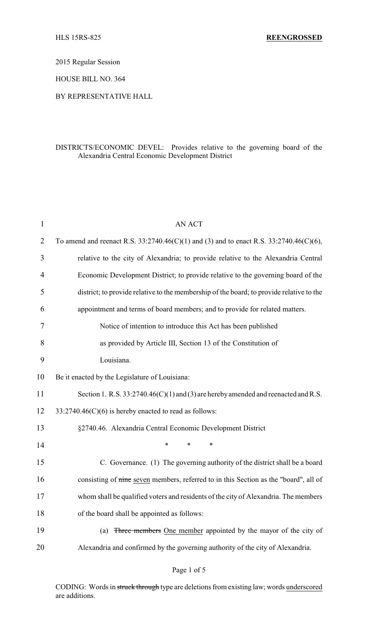2015 Regular Session

HOUSE BILL NO. 364

## BY REPRESENTATIVE HALL

## DISTRICTS/ECONOMIC DEVEL: Provides relative to the governing board of the Alexandria Central Economic Development District

| $\mathbf 1$    | <b>AN ACT</b>                                                                               |
|----------------|---------------------------------------------------------------------------------------------|
| $\overline{2}$ | To amend and reenact R.S. $33:2740.46(C)(1)$ and (3) and to enact R.S. $33:2740.46(C)(6)$ , |
| 3              | relative to the city of Alexandria; to provide relative to the Alexandria Central           |
| $\overline{4}$ | Economic Development District; to provide relative to the governing board of the            |
| 5              | district; to provide relative to the membership of the board; to provide relative to the    |
| 6              | appointment and terms of board members; and to provide for related matters.                 |
| 7              | Notice of intention to introduce this Act has been published                                |
| 8              | as provided by Article III, Section 13 of the Constitution of                               |
| 9              | Louisiana.                                                                                  |
| 10             | Be it enacted by the Legislature of Louisiana:                                              |
| 11             | Section 1. R.S. $33:2740.46(C)(1)$ and (3) are hereby amended and reenacted and R.S.        |
| 12             | $33:2740.46(C)(6)$ is hereby enacted to read as follows:                                    |
| 13             | §2740.46. Alexandria Central Economic Development District                                  |
| 14             | *<br>*<br>*                                                                                 |
| 15             | C. Governance. (1) The governing authority of the district shall be a board                 |
| 16             | consisting of nine seven members, referred to in this Section as the "board", all of        |
| 17             | whom shall be qualified voters and residents of the city of Alexandria. The members         |
| 18             | of the board shall be appointed as follows:                                                 |
| 19             | Three members One member appointed by the mayor of the city of<br>(a)                       |
| 20             | Alexandria and confirmed by the governing authority of the city of Alexandria.              |

CODING: Words in struck through type are deletions from existing law; words underscored are additions.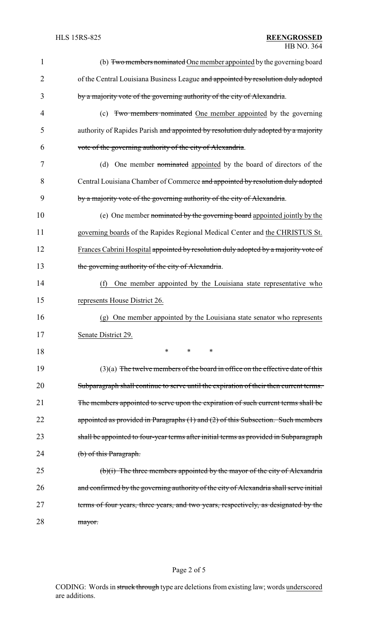| 1              | (b) Two members nominated One member appointed by the governing board                  |
|----------------|----------------------------------------------------------------------------------------|
| $\overline{2}$ | of the Central Louisiana Business League and appointed by resolution duly adopted      |
| 3              | by a majority vote of the governing authority of the city of Alexandria.               |
| 4              | (c) Two members nominated One member appointed by the governing                        |
| 5              | authority of Rapides Parish and appointed by resolution duly adopted by a majority     |
| 6              | vote of the governing authority of the city of Alexandria.                             |
| 7              | One member nominated appointed by the board of directors of the<br>(d)                 |
| 8              | Central Louisiana Chamber of Commerce and appointed by resolution duly adopted         |
| 9              | by a majority vote of the governing authority of the city of Alexandria.               |
| 10             | (e) One member nominated by the governing board appointed jointly by the               |
| 11             | governing boards of the Rapides Regional Medical Center and the CHRISTUS St.           |
| 12             | Frances Cabrini Hospital appointed by resolution duly adopted by a majority vote of    |
| 13             | the governing authority of the city of Alexandria.                                     |
| 14             | One member appointed by the Louisiana state representative who<br>(f)                  |
| 15             | represents House District 26.                                                          |
| 16             | One member appointed by the Louisiana state senator who represents<br>(g)              |
| 17             | Senate District 29.                                                                    |
| 18             | *<br>$\ast$<br>*                                                                       |
| 19             | $(3)(a)$ The twelve members of the board in office on the effective date of this       |
| 20             | Subparagraph shall continue to serve until the expiration of their then current terms. |
| 21             | The members appointed to serve upon the expiration of such current terms shall be      |
| 22             | appointed as provided in Paragraphs (1) and (2) of this Subsection. Such members       |
| 23             | shall be appointed to four-year terms after initial terms as provided in Subparagraph  |
| 24             | (b) of this Paragraph.                                                                 |
| 25             | $(b)(i)$ The three members appointed by the mayor of the city of Alexandria            |
| 26             | and confirmed by the governing authority of the city of Alexandria shall serve initial |
| 27             | terms of four years, three years, and two years, respectively, as designated by the    |
| 28             | mayor.                                                                                 |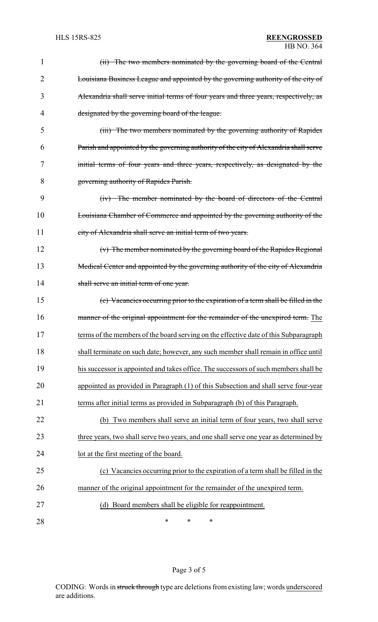## HLS 15RS-825 **REENGROSSED** HB NO. 364

| 1              | (ii) The two members nominated by the governing board of the Central                  |
|----------------|---------------------------------------------------------------------------------------|
| $\overline{2}$ | Louisiana Business League and appointed by the governing authority of the city of     |
| 3              | Alexandria shall serve initial terms of four years and three years, respectively, as  |
| 4              | designated by the governing board of the league.                                      |
| 5              | (iii) The two members nominated by the governing authority of Rapides                 |
| 6              | Parish and appointed by the governing authority of the city of Alexandria shall serve |
| 7              | initial terms of four years and three years, respectively, as designated by the       |
| 8              | governing authority of Rapides Parish.                                                |
| 9              | (iv) The member nominated by the board of directors of the Central                    |
| 10             | Louisiana Chamber of Commerce and appointed by the governing authority of the         |
| 11             | city of Alexandria shall serve an initial term of two years.                          |
| 12             | (v) The member nominated by the governing board of the Rapides Regional               |
| 13             | Medical Center and appointed by the governing authority of the city of Alexandria     |
| 14             | shall serve an initial term of one year.                                              |
| 15             | (c) Vacancies occurring prior to the expiration of a term shall be filled in the      |
| 16             | manner of the original appointment for the remainder of the unexpired term. The       |
| 17             | terms of the members of the board serving on the effective date of this Subparagraph  |
| 18             | shall terminate on such date; however, any such member shall remain in office until   |
| 19             | his successor is appointed and takes office. The successors of such members shall be  |
| 20             | appointed as provided in Paragraph (1) of this Subsection and shall serve four-year   |
| 21             | terms after initial terms as provided in Subparagraph (b) of this Paragraph.          |
| 22             | Two members shall serve an initial term of four years, two shall serve<br>(b)         |
| 23             | three years, two shall serve two years, and one shall serve one year as determined by |
| 24             | lot at the first meeting of the board.                                                |
| 25             | (c) Vacancies occurring prior to the expiration of a term shall be filled in the      |
| 26             | manner of the original appointment for the remainder of the unexpired term.           |
| 27             | (d) Board members shall be eligible for reappointment.                                |
| 28             | $\ast$<br>$\ast$<br>∗                                                                 |

# Page 3 of 5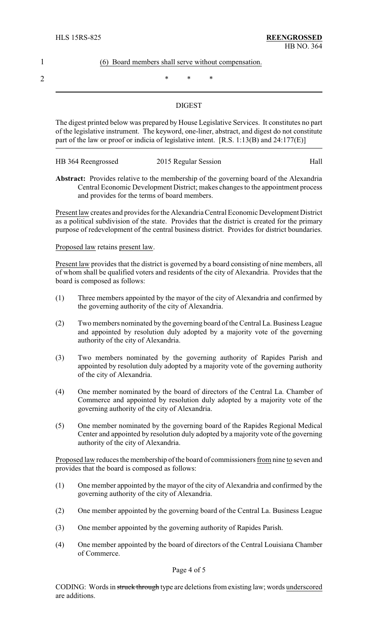#### 1 (6) Board members shall serve without compensation.

2  $*$  \* \* \*

### **DIGEST**

The digest printed below was prepared by House Legislative Services. It constitutes no part of the legislative instrument. The keyword, one-liner, abstract, and digest do not constitute part of the law or proof or indicia of legislative intent. [R.S. 1:13(B) and 24:177(E)]

| HB 364 Reengrossed | Hall<br>2015 Regular Session |
|--------------------|------------------------------|
|--------------------|------------------------------|

**Abstract:** Provides relative to the membership of the governing board of the Alexandria Central Economic Development District; makes changes to the appointment process and provides for the terms of board members.

Present law creates and provides for the Alexandria Central Economic Development District as a political subdivision of the state. Provides that the district is created for the primary purpose of redevelopment of the central business district. Provides for district boundaries.

Proposed law retains present law.

Present law provides that the district is governed by a board consisting of nine members, all of whom shall be qualified voters and residents of the city of Alexandria. Provides that the board is composed as follows:

- (1) Three members appointed by the mayor of the city of Alexandria and confirmed by the governing authority of the city of Alexandria.
- (2) Two members nominated by the governing board of the Central La. Business League and appointed by resolution duly adopted by a majority vote of the governing authority of the city of Alexandria.
- (3) Two members nominated by the governing authority of Rapides Parish and appointed by resolution duly adopted by a majority vote of the governing authority of the city of Alexandria.
- (4) One member nominated by the board of directors of the Central La. Chamber of Commerce and appointed by resolution duly adopted by a majority vote of the governing authority of the city of Alexandria.
- (5) One member nominated by the governing board of the Rapides Regional Medical Center and appointed by resolution duly adopted by a majority vote of the governing authority of the city of Alexandria.

Proposed law reduces the membership of the board of commissioners from nine to seven and provides that the board is composed as follows:

- (1) One member appointed by the mayor of the city of Alexandria and confirmed by the governing authority of the city of Alexandria.
- (2) One member appointed by the governing board of the Central La. Business League
- (3) One member appointed by the governing authority of Rapides Parish.
- (4) One member appointed by the board of directors of the Central Louisiana Chamber of Commerce.

Page 4 of 5